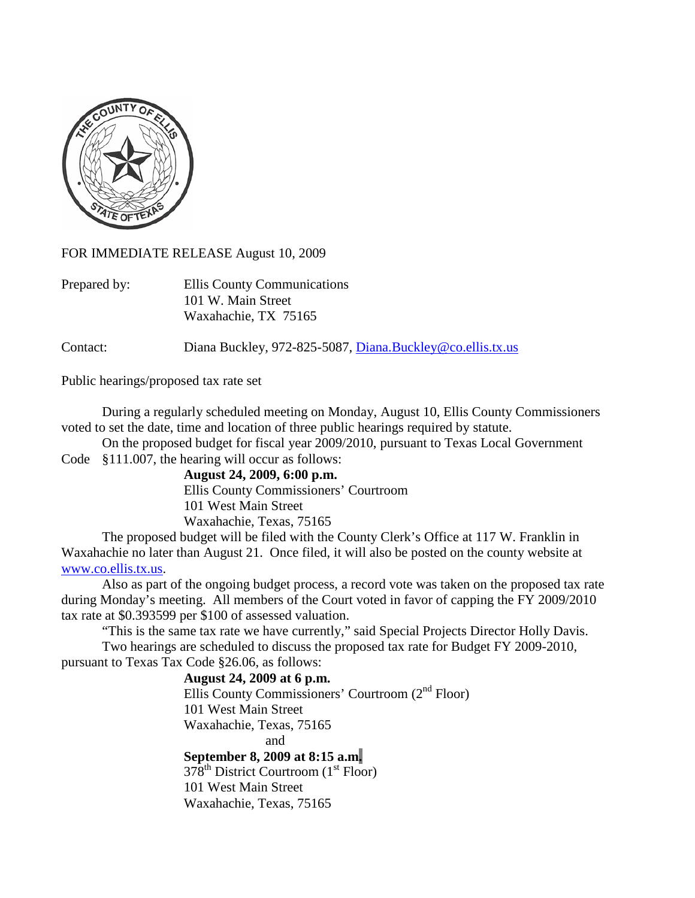

FOR IMMEDIATE RELEASE August 10, 2009

| Prepared by: | Ellis County Communications |
|--------------|-----------------------------|
|              | 101 W. Main Street          |
|              | Waxahachie, TX 75165        |

Contact: Diana Buckley, 972-825-5087, [Diana.Buckley@co.ellis.tx.us](mailto:Diana.Buckley@co.ellis.tx.us)

Public hearings/proposed tax rate set

During a regularly scheduled meeting on Monday, August 10, Ellis County Commissioners voted to set the date, time and location of three public hearings required by statute.

On the proposed budget for fiscal year 2009/2010, pursuant to Texas Local Government Code §111.007, the hearing will occur as follows:

> **August 24, 2009, 6:00 p.m.** Ellis County Commissioners' Courtroom 101 West Main Street Waxahachie, Texas, 75165

The proposed budget will be filed with the County Clerk's Office at 117 W. Franklin in Waxahachie no later than August 21. Once filed, it will also be posted on the county website at [www.co.ellis.tx.us.](http://www.co.ellis.tx.us/)

Also as part of the ongoing budget process, a record vote was taken on the proposed tax rate during Monday's meeting. All members of the Court voted in favor of capping the FY 2009/2010 tax rate at \$0.393599 per \$100 of assessed valuation.

"This is the same tax rate we have currently," said Special Projects Director Holly Davis. Two hearings are scheduled to discuss the proposed tax rate for Budget FY 2009-2010, pursuant to Texas Tax Code §26.06, as follows:

## **August 24, 2009 at 6 p.m.**

Ellis County Commissioners' Courtroom (2nd Floor) 101 West Main Street Waxahachie, Texas, 75165 and **September 8, 2009 at 8:15 a.m.**  $378^{\text{th}}$  District Courtroom (1<sup>st</sup> Floor) 101 West Main Street Waxahachie, Texas, 75165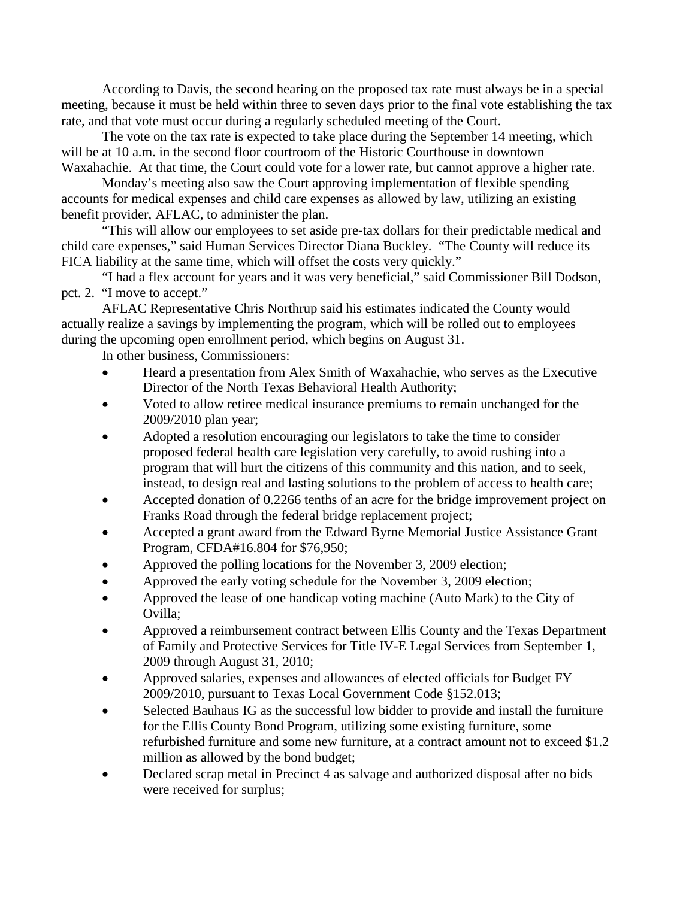According to Davis, the second hearing on the proposed tax rate must always be in a special meeting, because it must be held within three to seven days prior to the final vote establishing the tax rate, and that vote must occur during a regularly scheduled meeting of the Court.

The vote on the tax rate is expected to take place during the September 14 meeting, which will be at 10 a.m. in the second floor courtroom of the Historic Courthouse in downtown Waxahachie. At that time, the Court could vote for a lower rate, but cannot approve a higher rate.

Monday's meeting also saw the Court approving implementation of flexible spending accounts for medical expenses and child care expenses as allowed by law, utilizing an existing benefit provider, AFLAC, to administer the plan.

"This will allow our employees to set aside pre-tax dollars for their predictable medical and child care expenses," said Human Services Director Diana Buckley. "The County will reduce its FICA liability at the same time, which will offset the costs very quickly."

"I had a flex account for years and it was very beneficial," said Commissioner Bill Dodson, pct. 2. "I move to accept."

AFLAC Representative Chris Northrup said his estimates indicated the County would actually realize a savings by implementing the program, which will be rolled out to employees during the upcoming open enrollment period, which begins on August 31.

In other business, Commissioners:

- Heard a presentation from Alex Smith of Waxahachie, who serves as the Executive Director of the North Texas Behavioral Health Authority;
- Voted to allow retiree medical insurance premiums to remain unchanged for the 2009/2010 plan year;
- Adopted a resolution encouraging our legislators to take the time to consider proposed federal health care legislation very carefully, to avoid rushing into a program that will hurt the citizens of this community and this nation, and to seek, instead, to design real and lasting solutions to the problem of access to health care;
- Accepted donation of 0.2266 tenths of an acre for the bridge improvement project on Franks Road through the federal bridge replacement project;
- Accepted a grant award from the Edward Byrne Memorial Justice Assistance Grant Program, CFDA#16.804 for \$76,950;
- Approved the polling locations for the November 3, 2009 election;
- Approved the early voting schedule for the November 3, 2009 election;
- Approved the lease of one handicap voting machine (Auto Mark) to the City of Ovilla;
- Approved a reimbursement contract between Ellis County and the Texas Department of Family and Protective Services for Title IV-E Legal Services from September 1, 2009 through August 31, 2010;
- Approved salaries, expenses and allowances of elected officials for Budget FY 2009/2010, pursuant to Texas Local Government Code §152.013;
- Selected Bauhaus IG as the successful low bidder to provide and install the furniture for the Ellis County Bond Program, utilizing some existing furniture, some refurbished furniture and some new furniture, at a contract amount not to exceed \$1.2 million as allowed by the bond budget;
- Declared scrap metal in Precinct 4 as salvage and authorized disposal after no bids were received for surplus;